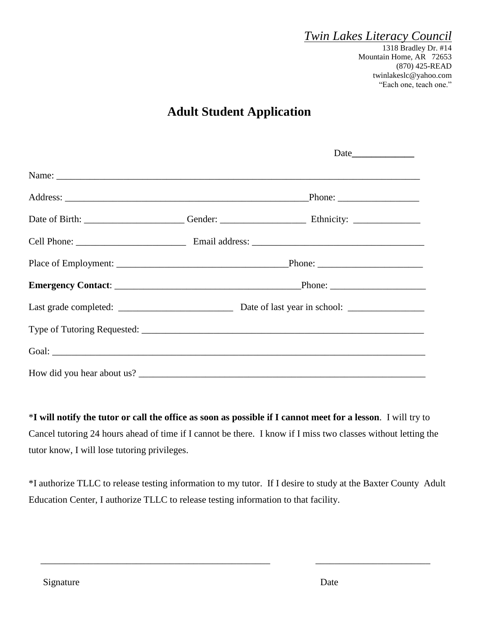### *Twin Lakes Literacy Council*

1318 Bradley Dr. #14 Mountain Home, AR 72653 (870) 425-READ [twinlakeslc@yahoo.com](mailto:twinlakeslc@yahoo.com) "Each one, teach one."

# **Adult Student Application**

\***I will notify the tutor or call the office as soon as possible if I cannot meet for a lesson**. I will try to Cancel tutoring 24 hours ahead of time if I cannot be there. I know if I miss two classes without letting the tutor know, I will lose tutoring privileges.

\*I authorize TLLC to release testing information to my tutor. If I desire to study at the Baxter County Adult Education Center, I authorize TLLC to release testing information to that facility.

 $\overline{\phantom{a}}$  ,  $\overline{\phantom{a}}$  ,  $\overline{\phantom{a}}$  ,  $\overline{\phantom{a}}$  ,  $\overline{\phantom{a}}$  ,  $\overline{\phantom{a}}$  ,  $\overline{\phantom{a}}$  ,  $\overline{\phantom{a}}$  ,  $\overline{\phantom{a}}$  ,  $\overline{\phantom{a}}$  ,  $\overline{\phantom{a}}$  ,  $\overline{\phantom{a}}$  ,  $\overline{\phantom{a}}$  ,  $\overline{\phantom{a}}$  ,  $\overline{\phantom{a}}$  ,  $\overline{\phantom{a}}$ 

Signature Date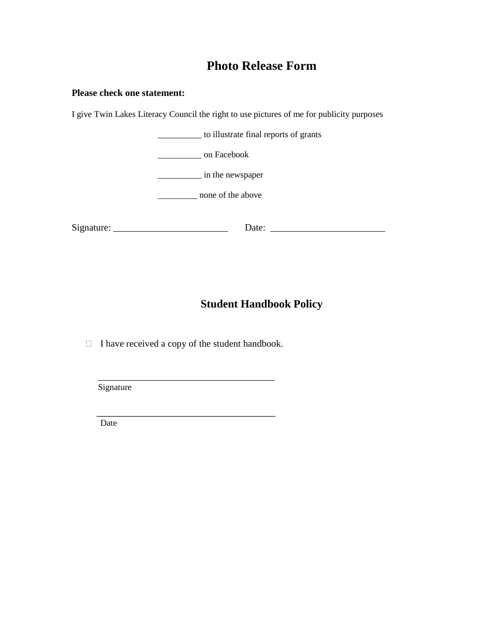## **Photo Release Form**

#### **Please check one statement:**

I give Twin Lakes Literacy Council the right to use pictures of me for publicity purposes



### **Student Handbook Policy**

 $\Box$  I have received a copy of the student handbook.

 $\overline{\phantom{a}}$  ,  $\overline{\phantom{a}}$  ,  $\overline{\phantom{a}}$  ,  $\overline{\phantom{a}}$  ,  $\overline{\phantom{a}}$  ,  $\overline{\phantom{a}}$  ,  $\overline{\phantom{a}}$  ,  $\overline{\phantom{a}}$  ,  $\overline{\phantom{a}}$  ,  $\overline{\phantom{a}}$  ,  $\overline{\phantom{a}}$  ,  $\overline{\phantom{a}}$  ,  $\overline{\phantom{a}}$  ,  $\overline{\phantom{a}}$  ,  $\overline{\phantom{a}}$  ,  $\overline{\phantom{a}}$ 

 $\frac{1}{\sqrt{2}}$  ,  $\frac{1}{\sqrt{2}}$  ,  $\frac{1}{\sqrt{2}}$  ,  $\frac{1}{\sqrt{2}}$  ,  $\frac{1}{\sqrt{2}}$  ,  $\frac{1}{\sqrt{2}}$  ,  $\frac{1}{\sqrt{2}}$  ,  $\frac{1}{\sqrt{2}}$  ,  $\frac{1}{\sqrt{2}}$  ,  $\frac{1}{\sqrt{2}}$  ,  $\frac{1}{\sqrt{2}}$  ,  $\frac{1}{\sqrt{2}}$  ,  $\frac{1}{\sqrt{2}}$  ,  $\frac{1}{\sqrt{2}}$  ,  $\frac{1}{\sqrt{2}}$ 

Signature

Date